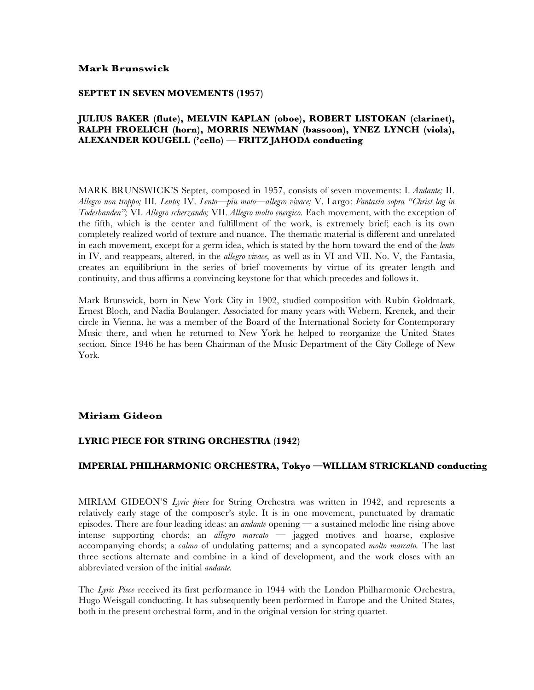#### **Mark Brunswick**

#### **SEPTET IN SEVEN MOVEMENTS (1957)**

## **JULIUS BAKER (flute), MELVIN KAPLAN (oboe), ROBERT LISTOKAN (clarinet), RALPH FROELICH (horn), MORRIS NEWMAN (bassoon), YNEZ LYNCH (viola), ALEXANDER KOUGELL ('cello) — FRITZ JAHODA conducting**

MARK BRUNSWICK'S Septet, composed in 1957, consists of seven movements: I. *Andante;* II. *Allegro non troppo;* III. *Lento;* IV. *Lento—piu moto—allegro vivace;* V. Largo: *Fantasia sopra "Christ lag in Todesbanden";* VI. *Allegro scherzando;* VII. *Allegro molto energico.* Each movement, with the exception of the fifth, which is the center and fulfillment of the work, is extremely brief; each is its own completely realized world of texture and nuance. The thematic material is different and unrelated in each movement, except for a germ idea, which is stated by the horn toward the end of the *lento*  in IV, and reappears, altered, in the *allegro vivace,* as well as in VI and VII. No. V, the Fantasia, creates an equilibrium in the series of brief movements by virtue of its greater length and continuity, and thus affirms a convincing keystone for that which precedes and follows it.

Mark Brunswick, born in New York City in 1902, studied composition with Rubin Goldmark, Ernest Bloch, and Nadia Boulanger. Associated for many years with Webern, Krenek, and their circle in Vienna, he was a member of the Board of the International Society for Contemporary Music there, and when he returned to New York he helped to reorganize the United States section. Since 1946 he has been Chairman of the Music Department of the City College of New York.

## **Miriam Gideon**

## **LYRIC PIECE FOR STRING ORCHESTRA (1942)**

# **IMPERIAL PHILHARMONIC ORCHESTRA, Tokyo —WILLIAM STRICKLAND conducting**

MIRIAM GIDEON'S *Lyric piece* for String Orchestra was written in 1942, and represents a relatively early stage of the composer's style. It is in one movement, punctuated by dramatic episodes. There are four leading ideas: an *andante* opening — a sustained melodic line rising above intense supporting chords; an *allegro marcato —* jagged motives and hoarse, explosive accompanying chords; a *calmo* of undulating patterns; and a syncopated *molto marcato.* The last three sections alternate and combine in a kind of development, and the work closes with an abbreviated version of the initial *andante.*

The *Lyric Piece* received its first performance in 1944 with the London Philharmonic Orchestra, Hugo Weisgall conducting. It has subsequently been performed in Europe and the United States, both in the present orchestral form, and in the original version for string quartet.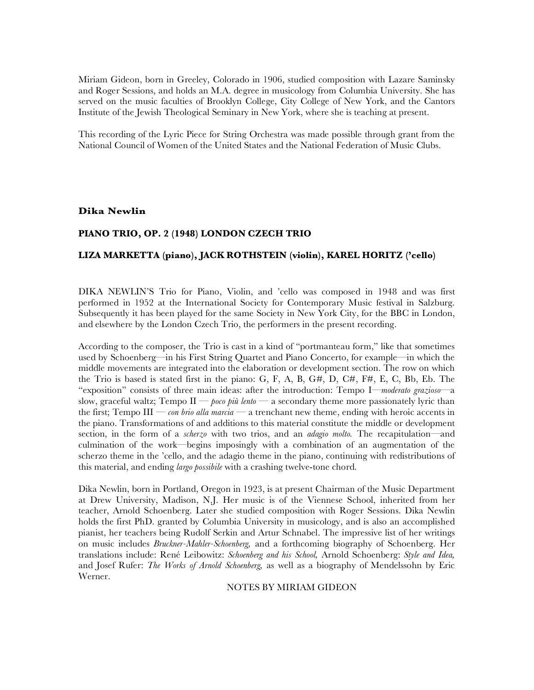Miriam Gideon, born in Greeley, Colorado in 1906, studied composition with Lazare Saminsky and Roger Sessions, and holds an M.A. degree in musicology from Columbia University. She has served on the music faculties of Brooklyn College, City College of New York, and the Cantors Institute of the Jewish Theological Seminary in New York, where she is teaching at present.

This recording of the Lyric Piece for String Orchestra was made possible through grant from the National Council of Women of the United States and the National Federation of Music Clubs.

#### **Dika Newlin**

## **PIANO TRIO, OP. 2 (1948) LONDON CZECH TRIO**

#### **LIZA MARKETTA (piano), JACK ROTHSTEIN (violin), KAREL HORITZ ('cello)**

DIKA NEWLIN'S Trio for Piano, Violin, and 'cello was composed in 1948 and was first performed in 1952 at the International Society for Contemporary Music festival in Salzburg. Subsequently it has been played for the same Society in New York City, for the BBC in London, and elsewhere by the London Czech Trio, the performers in the present recording.

According to the composer, the Trio is cast in a kind of "portmanteau form," like that sometimes used by Schoenberg—in his First String Quartet and Piano Concerto, for example—in which the middle movements are integrated into the elaboration or development section. The row on which the Trio is based is stated first in the piano: G, F, A, B,  $G#$ , D,  $C#$ ,  $F#$ , E, C, Bb, Eb. The "exposition" consists of three main ideas: after the introduction: Tempo I—*moderato grazioso—*a slow, graceful waltz; Tempo II — *poco più lento —* a secondary theme more passionately lyric than the first; Tempo III — *con brio alla marcia —* a trenchant new theme, ending with heroic accents in the piano. Transformations of and additions to this material constitute the middle or development section, in the form of a *scherzo* with two trios, and an *adagio molto.* The recapitulation—and culmination of the work—begins imposingly with a combination of an augmentation of the scherzo theme in the 'cello, and the adagio theme in the piano, continuing with redistributions of this material, and ending *largo possibile* with a crashing twelve-tone chord.

Dika Newlin, born in Portland, Oregon in 1923, is at present Chairman of the Music Department at Drew University, Madison, N.J. Her music is of the Viennese School, inherited from her teacher, Arnold Schoenberg. Later she studied composition with Roger Sessions. Dika Newlin holds the first PhD. granted by Columbia University in musicology, and is also an accomplished pianist, her teachers being Rudolf Serkin and Artur Schnabel. The impressive list of her writings on music includes *Bruckner-Mahler-Schoenberg,* and a forthcoming biography of Schoenberg. Her translations include: René Leibowitz: *Schoenberg and his School,* Arnold Schoenberg: *Style and Idea,*  and Josef Rufer: *The Works of Arnold Schoenberg,* as well as a biography of Mendelssohn by Eric Werner.

NOTES BY MIRIAM GIDEON